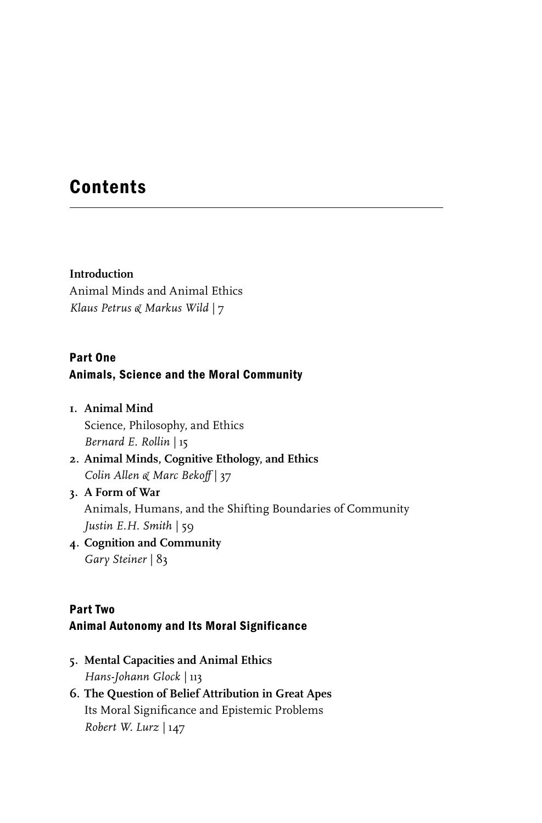# Contents

**Introduction** Animal Minds and Animal Ethics *Klaus Petrus & Markus Wild* | 7

## Part One Animals, Science and the Moral Community

- **1. Animal Mind** Science, Philosophy, and Ethics  *Bernard E. Rollin* | 15
- **2. Animal Minds, Cognitive Ethology, and Ethics**  *Colin Allen & Marc Bekoff* | 37
- **3. A Form of War** Animals, Humans, and the Shifting Boundaries of Community  *Justin E.H. Smith* | 59
- **4. Cognition and Community**  *Gary Steiner* | 83

### Part Two Animal Autonomy and Its Moral Significance

- **5. Mental Capacities and Animal Ethics**  *Hans-Johann Glock* | 113
- **6. The Question of Belief Attribution in Great Apes** Its Moral Significance and Epistemic Problems  *Robert W. Lurz* | 147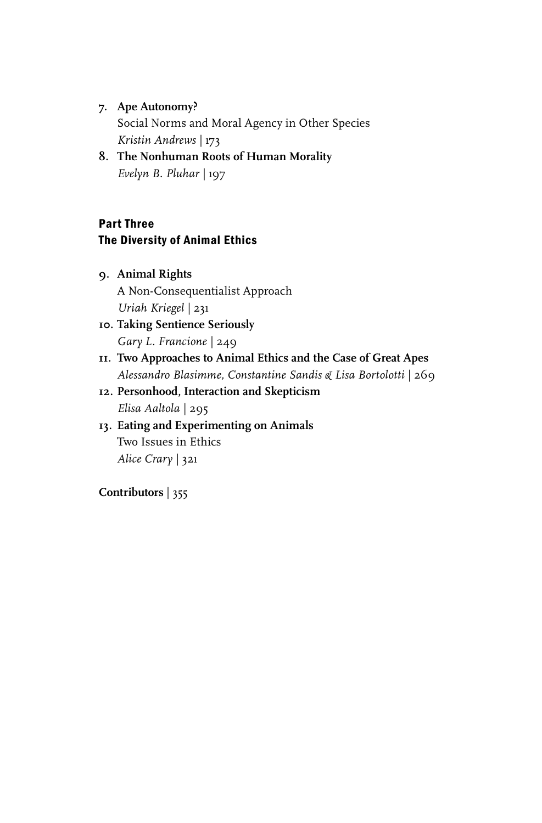### **7. Ape Autonomy?**

 Social Norms and Moral Agency in Other Species  *Kristin Andrews* | 173

**8. The Nonhuman Roots of Human Morality**  *Evelyn B. Pluhar* | 197

### Part Three The Diversity of Animal Ethics

- **9. Animal Rights** A Non-Consequentialist Approach  *Uriah Kriegel* | 231
- **10. Taking Sentience Seriously**  *Gary L. Francione* | 249
- **11. Two Approaches to Animal Ethics and the Case of Great Apes**  *Alessandro Blasimme, Constantine Sandis & Lisa Bortolotti* | 269
- **12. Personhood, Interaction and Skepticism**  *Elisa Aaltola* | 295
- **13. Eating and Experimenting on Animals** Two Issues in Ethics  *Alice Crary* | 321

**Contributors** | 355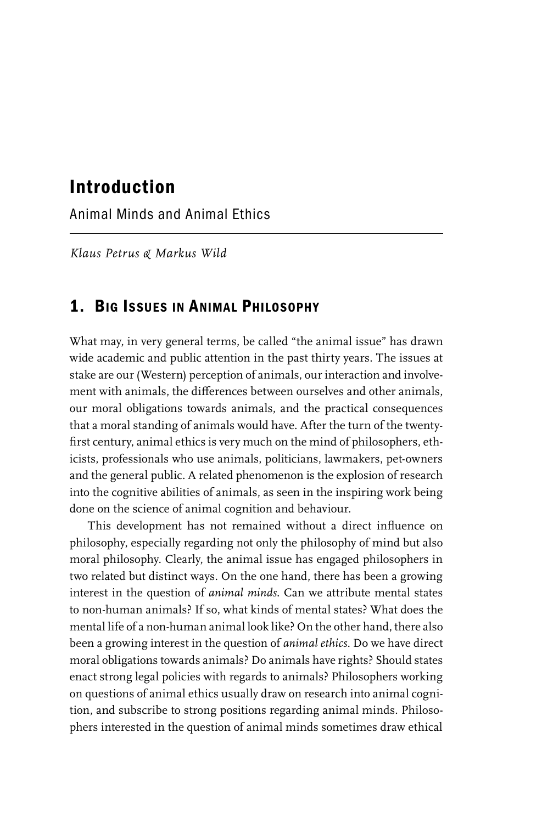# Introduction

Animal Minds and Animal Ethics

*Klaus Petrus & Markus Wild*

# 1. BIG ISSUES IN ANIMAL PHILOSOPHY

What may, in very general terms, be called "the animal issue" has drawn wide academic and public attention in the past thirty years. The issues at stake are our (Western) perception of animals, our interaction and involvement with animals, the differences between ourselves and other animals, our moral obligations towards animals, and the practical consequences that a moral standing of animals would have. After the turn of the twentyfirst century, animal ethics is very much on the mind of philosophers, ethicists, professionals who use animals, politicians, lawmakers, pet-owners and the general public. A related phenomenon is the explosion of research into the cognitive abilities of animals, as seen in the inspiring work being done on the science of animal cognition and behaviour.

This development has not remained without a direct influence on philosophy, especially regarding not only the philosophy of mind but also moral philosophy. Clearly, the animal issue has engaged philosophers in two related but distinct ways. On the one hand, there has been a growing interest in the question of *animal minds*. Can we attribute mental states to non-human animals? If so, what kinds of mental states? What does the mental life of a non-human animal look like? On the other hand, there also been a growing interest in the question of *animal ethics*. Do we have direct moral obligations towards animals? Do animals have rights? Should states enact strong legal policies with regards to animals? Philosophers working on questions of animal ethics usually draw on research into animal cognition, and subscribe to strong positions regarding animal minds. Philosophers interested in the question of animal minds sometimes draw ethical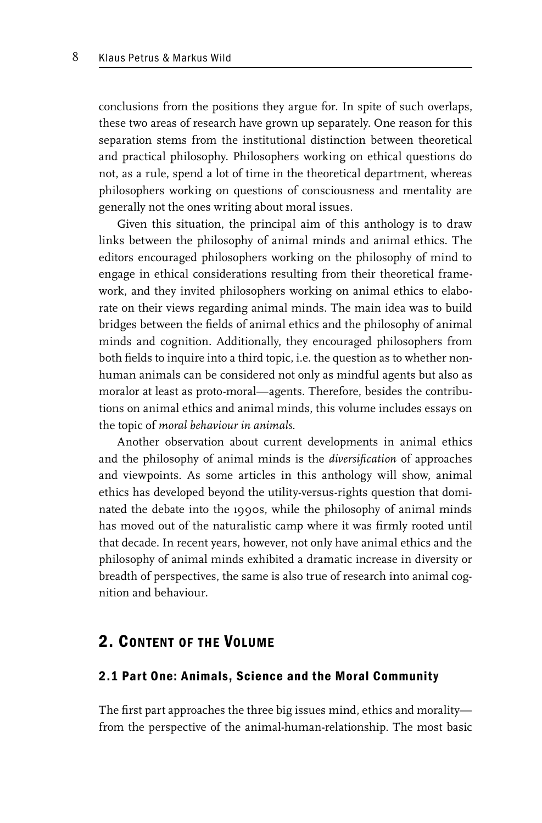conclusions from the positions they argue for. In spite of such overlaps, these two areas of research have grown up separately. One reason for this separation stems from the institutional distinction between theoretical and practical philosophy. Philosophers working on ethical questions do not, as a rule, spend a lot of time in the theoretical department, whereas philosophers working on questions of consciousness and mentality are generally not the ones writing about moral issues.

Given this situation, the principal aim of this anthology is to draw links between the philosophy of animal minds and animal ethics. The editors encouraged philosophers working on the philosophy of mind to engage in ethical considerations resulting from their theoretical framework, and they invited philosophers working on animal ethics to elaborate on their views regarding animal minds. The main idea was to build bridges between the fields of animal ethics and the philosophy of animal minds and cognition. Additionally, they encouraged philosophers from both fields to inquire into a third topic, i.e. the question as to whether nonhuman animals can be considered not only as mindful agents but also as moralor at least as proto-moral—agents. Therefore, besides the contributions on animal ethics and animal minds, this volume includes essays on the topic of *moral behaviour in animals*.

Another observation about current developments in animal ethics and the philosophy of animal minds is the *diversification* of approaches and viewpoints. As some articles in this anthology will show, animal ethics has developed beyond the utility-versus-rights question that dominated the debate into the 1990s, while the philosophy of animal minds has moved out of the naturalistic camp where it was firmly rooted until that decade. In recent years, however, not only have animal ethics and the philosophy of animal minds exhibited a dramatic increase in diversity or breadth of perspectives, the same is also true of research into animal cognition and behaviour.

## 2. CONTENT OF THE VOLUME

#### 2.1 Part One: Animals, Science and the Moral Community

The first part approaches the three big issues mind, ethics and morality from the perspective of the animal-human-relationship. The most basic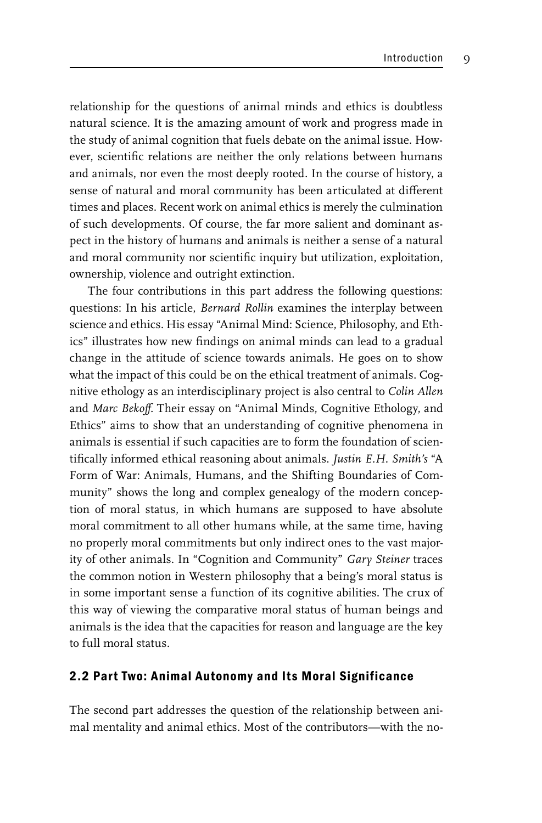relationship for the questions of animal minds and ethics is doubtless natural science. It is the amazing amount of work and progress made in the study of animal cognition that fuels debate on the animal issue. However, scientific relations are neither the only relations between humans and animals, nor even the most deeply rooted. In the course of history, a sense of natural and moral community has been articulated at different times and places. Recent work on animal ethics is merely the culmination of such developments. Of course, the far more salient and dominant aspect in the history of humans and animals is neither a sense of a natural and moral community nor scientific inquiry but utilization, exploitation, ownership, violence and outright extinction.

The four contributions in this part address the following questions: questions: In his article, *Bernard Rollin* examines the interplay between science and ethics. His essay "Animal Mind: Science, Philosophy, and Ethics" illustrates how new findings on animal minds can lead to a gradual change in the attitude of science towards animals. He goes on to show what the impact of this could be on the ethical treatment of animals. Cognitive ethology as an interdisciplinary project is also central to *Colin Allen*  and *Marc Bekoff*. Their essay on "Animal Minds, Cognitive Ethology, and Ethics" aims to show that an understanding of cognitive phenomena in animals is essential if such capacities are to form the foundation of scientifically informed ethical reasoning about animals. *Justin E.H. Smith's* "A Form of War: Animals, Humans, and the Shifting Boundaries of Community" shows the long and complex genealogy of the modern conception of moral status, in which humans are supposed to have absolute moral commitment to all other humans while, at the same time, having no properly moral commitments but only indirect ones to the vast majority of other animals. In "Cognition and Community" *Gary Steiner* traces the common notion in Western philosophy that a being's moral status is in some important sense a function of its cognitive abilities. The crux of this way of viewing the comparative moral status of human beings and animals is the idea that the capacities for reason and language are the key to full moral status.

#### 2.2 Part Two: Animal Autonomy and Its Moral Significance

The second part addresses the question of the relationship between animal mentality and animal ethics. Most of the contributors—with the no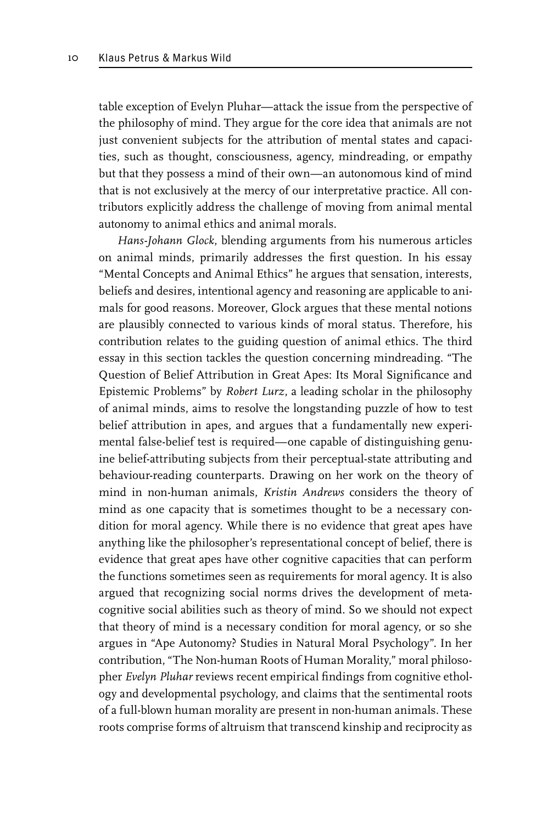table exception of Evelyn Pluhar*—*attack the issue from the perspective of the philosophy of mind. They argue for the core idea that animals are not just convenient subjects for the attribution of mental states and capacities, such as thought, consciousness, agency, mindreading, or empathy but that they possess a mind of their own—an autonomous kind of mind that is not exclusively at the mercy of our interpretative practice. All contributors explicitly address the challenge of moving from animal mental autonomy to animal ethics and animal morals.

*Hans-Johann Glock*, blending arguments from his numerous articles on animal minds, primarily addresses the first question. In his essay "Mental Concepts and Animal Ethics" he argues that sensation, interests, beliefs and desires, intentional agency and reasoning are applicable to animals for good reasons. Moreover, Glock argues that these mental notions are plausibly connected to various kinds of moral status. Therefore, his contribution relates to the guiding question of animal ethics. The third essay in this section tackles the question concerning mindreading. "The Question of Belief Attribution in Great Apes: Its Moral Significance and Epistemic Problems" by *Robert Lurz*, a leading scholar in the philosophy of animal minds, aims to resolve the longstanding puzzle of how to test belief attribution in apes, and argues that a fundamentally new experimental false-belief test is required—one capable of distinguishing genuine belief-attributing subjects from their perceptual-state attributing and behaviour-reading counterparts. Drawing on her work on the theory of mind in non-human animals, *Kristin Andrews* considers the theory of mind as one capacity that is sometimes thought to be a necessary condition for moral agency. While there is no evidence that great apes have anything like the philosopher's representational concept of belief, there is evidence that great apes have other cognitive capacities that can perform the functions sometimes seen as requirements for moral agency. It is also argued that recognizing social norms drives the development of metacognitive social abilities such as theory of mind. So we should not expect that theory of mind is a necessary condition for moral agency, or so she argues in "Ape Autonomy? Studies in Natural Moral Psychology". In her contribution, "The Non-human Roots of Human Morality," moral philosopher *Evelyn Pluhar* reviews recent empirical findings from cognitive ethology and developmental psychology, and claims that the sentimental roots of a full-blown human morality are present in non-human animals. These roots comprise forms of altruism that transcend kinship and reciprocity as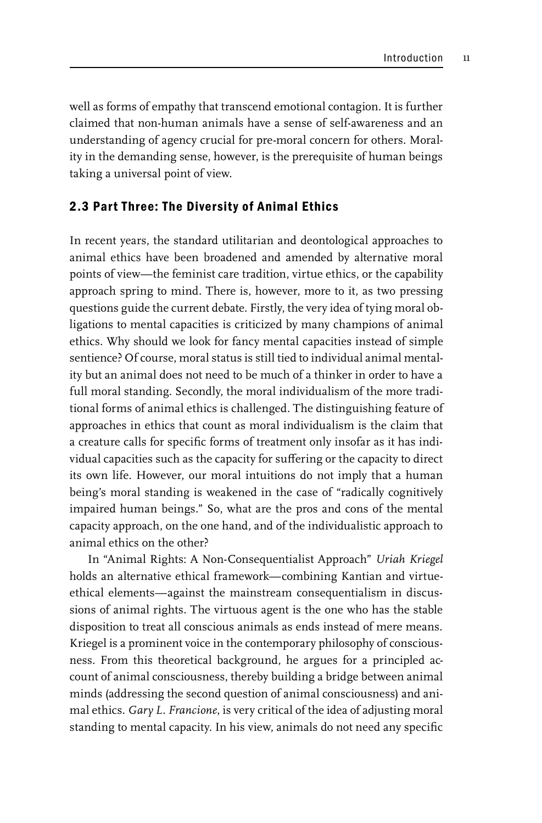well as forms of empathy that transcend emotional contagion. It is further claimed that non-human animals have a sense of self-awareness and an understanding of agency crucial for pre-moral concern for others. Morality in the demanding sense, however, is the prerequisite of human beings taking a universal point of view.

### 2.3 Part Three: The Diversity of Animal Ethics

In recent years, the standard utilitarian and deontological approaches to animal ethics have been broadened and amended by alternative moral points of view—the feminist care tradition, virtue ethics, or the capability approach spring to mind. There is, however, more to it, as two pressing questions guide the current debate. Firstly, the very idea of tying moral obligations to mental capacities is criticized by many champions of animal ethics. Why should we look for fancy mental capacities instead of simple sentience? Of course, moral status is still tied to individual animal mentality but an animal does not need to be much of a thinker in order to have a full moral standing. Secondly, the moral individualism of the more traditional forms of animal ethics is challenged. The distinguishing feature of approaches in ethics that count as moral individualism is the claim that a creature calls for specific forms of treatment only insofar as it has individual capacities such as the capacity for suffering or the capacity to direct its own life. However, our moral intuitions do not imply that a human being's moral standing is weakened in the case of "radically cognitively impaired human beings." So, what are the pros and cons of the mental capacity approach, on the one hand, and of the individualistic approach to animal ethics on the other?

In "Animal Rights: A Non-Consequentialist Approach" *Uriah Kriegel* holds an alternative ethical framework—combining Kantian and virtueethical elements—against the mainstream consequentialism in discussions of animal rights. The virtuous agent is the one who has the stable disposition to treat all conscious animals as ends instead of mere means. Kriegel is a prominent voice in the contemporary philosophy of consciousness. From this theoretical background, he argues for a principled account of animal consciousness, thereby building a bridge between animal minds (addressing the second question of animal consciousness) and animal ethics. *Gary L. Francione*, is very critical of the idea of adjusting moral standing to mental capacity. In his view, animals do not need any specific